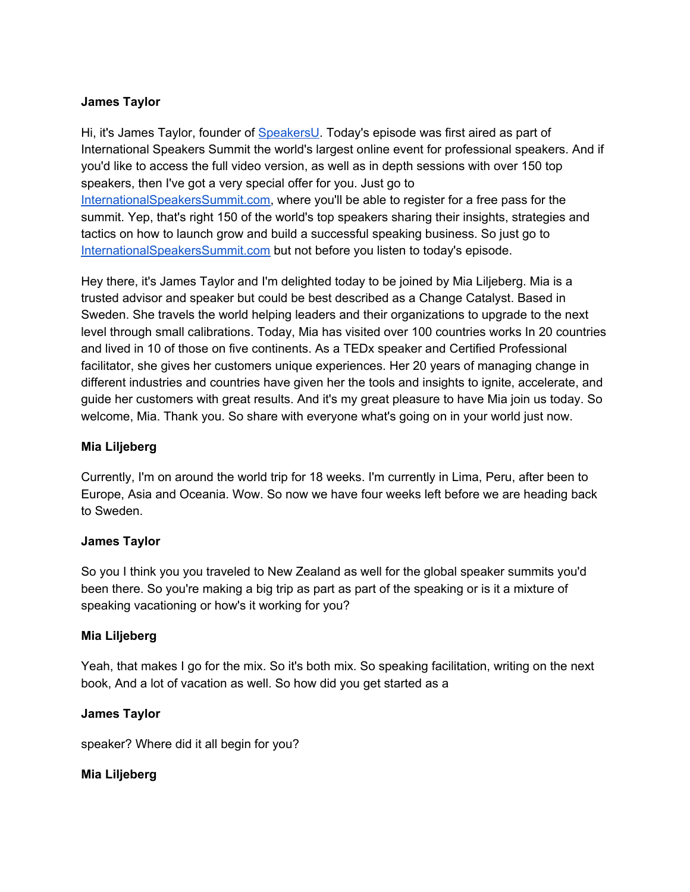### **James Taylor**

Hi, it's James Taylor, founder of [SpeakersU.](https://speakersu.com/) Today's episode was first aired as part of International Speakers Summit the world's largest online event for professional speakers. And if you'd like to access the full video version, as well as in depth sessions with over 150 top speakers, then I've got a very special offer for you. Just go to [InternationalSpeakersSummit.com](http://internationalspeakerssummit.com/), where you'll be able to register for a free pass for the summit. Yep, that's right 150 of the world's top speakers sharing their insights, strategies and tactics on how to launch grow and build a successful speaking business. So just go t[o](http://internationalspeakerssummit.com/) [InternationalSpeakersSummit.com](http://internationalspeakerssummit.com/) but not before you listen to today's episode.

Hey there, it's James Taylor and I'm delighted today to be joined by Mia Liljeberg. Mia is a trusted advisor and speaker but could be best described as a Change Catalyst. Based in Sweden. She travels the world helping leaders and their organizations to upgrade to the next level through small calibrations. Today, Mia has visited over 100 countries works In 20 countries and lived in 10 of those on five continents. As a TEDx speaker and Certified Professional facilitator, she gives her customers unique experiences. Her 20 years of managing change in different industries and countries have given her the tools and insights to ignite, accelerate, and guide her customers with great results. And it's my great pleasure to have Mia join us today. So welcome, Mia. Thank you. So share with everyone what's going on in your world just now.

### **Mia Liljeberg**

Currently, I'm on around the world trip for 18 weeks. I'm currently in Lima, Peru, after been to Europe, Asia and Oceania. Wow. So now we have four weeks left before we are heading back to Sweden.

#### **James Taylor**

So you I think you you traveled to New Zealand as well for the global speaker summits you'd been there. So you're making a big trip as part as part of the speaking or is it a mixture of speaking vacationing or how's it working for you?

#### **Mia Liljeberg**

Yeah, that makes I go for the mix. So it's both mix. So speaking facilitation, writing on the next book, And a lot of vacation as well. So how did you get started as a

#### **James Taylor**

speaker? Where did it all begin for you?

# **Mia Liljeberg**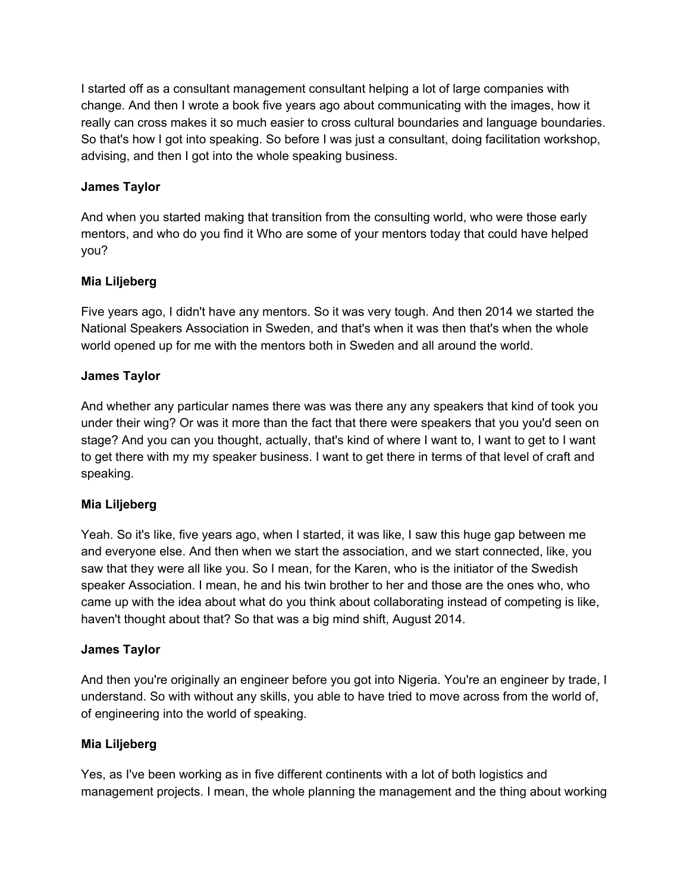I started off as a consultant management consultant helping a lot of large companies with change. And then I wrote a book five years ago about communicating with the images, how it really can cross makes it so much easier to cross cultural boundaries and language boundaries. So that's how I got into speaking. So before I was just a consultant, doing facilitation workshop, advising, and then I got into the whole speaking business.

# **James Taylor**

And when you started making that transition from the consulting world, who were those early mentors, and who do you find it Who are some of your mentors today that could have helped you?

# **Mia Liljeberg**

Five years ago, I didn't have any mentors. So it was very tough. And then 2014 we started the National Speakers Association in Sweden, and that's when it was then that's when the whole world opened up for me with the mentors both in Sweden and all around the world.

### **James Taylor**

And whether any particular names there was was there any any speakers that kind of took you under their wing? Or was it more than the fact that there were speakers that you you'd seen on stage? And you can you thought, actually, that's kind of where I want to, I want to get to I want to get there with my my speaker business. I want to get there in terms of that level of craft and speaking.

#### **Mia Liljeberg**

Yeah. So it's like, five years ago, when I started, it was like, I saw this huge gap between me and everyone else. And then when we start the association, and we start connected, like, you saw that they were all like you. So I mean, for the Karen, who is the initiator of the Swedish speaker Association. I mean, he and his twin brother to her and those are the ones who, who came up with the idea about what do you think about collaborating instead of competing is like, haven't thought about that? So that was a big mind shift, August 2014.

#### **James Taylor**

And then you're originally an engineer before you got into Nigeria. You're an engineer by trade, I understand. So with without any skills, you able to have tried to move across from the world of, of engineering into the world of speaking.

#### **Mia Liljeberg**

Yes, as I've been working as in five different continents with a lot of both logistics and management projects. I mean, the whole planning the management and the thing about working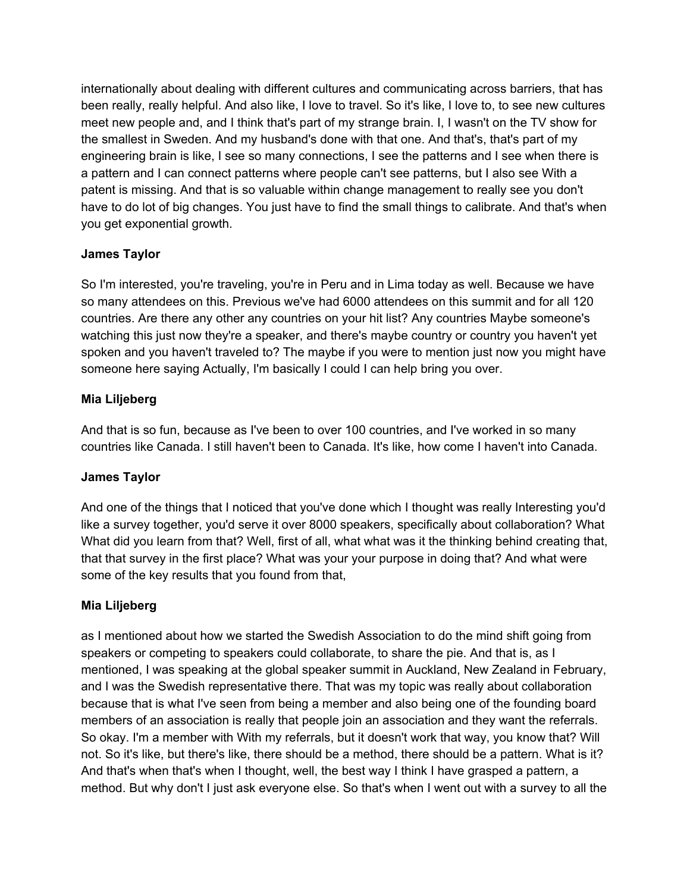internationally about dealing with different cultures and communicating across barriers, that has been really, really helpful. And also like, I love to travel. So it's like, I love to, to see new cultures meet new people and, and I think that's part of my strange brain. I, I wasn't on the TV show for the smallest in Sweden. And my husband's done with that one. And that's, that's part of my engineering brain is like, I see so many connections, I see the patterns and I see when there is a pattern and I can connect patterns where people can't see patterns, but I also see With a patent is missing. And that is so valuable within change management to really see you don't have to do lot of big changes. You just have to find the small things to calibrate. And that's when you get exponential growth.

# **James Taylor**

So I'm interested, you're traveling, you're in Peru and in Lima today as well. Because we have so many attendees on this. Previous we've had 6000 attendees on this summit and for all 120 countries. Are there any other any countries on your hit list? Any countries Maybe someone's watching this just now they're a speaker, and there's maybe country or country you haven't yet spoken and you haven't traveled to? The maybe if you were to mention just now you might have someone here saying Actually, I'm basically I could I can help bring you over.

# **Mia Liljeberg**

And that is so fun, because as I've been to over 100 countries, and I've worked in so many countries like Canada. I still haven't been to Canada. It's like, how come I haven't into Canada.

# **James Taylor**

And one of the things that I noticed that you've done which I thought was really Interesting you'd like a survey together, you'd serve it over 8000 speakers, specifically about collaboration? What What did you learn from that? Well, first of all, what what was it the thinking behind creating that, that that survey in the first place? What was your your purpose in doing that? And what were some of the key results that you found from that,

#### **Mia Liljeberg**

as I mentioned about how we started the Swedish Association to do the mind shift going from speakers or competing to speakers could collaborate, to share the pie. And that is, as I mentioned, I was speaking at the global speaker summit in Auckland, New Zealand in February, and I was the Swedish representative there. That was my topic was really about collaboration because that is what I've seen from being a member and also being one of the founding board members of an association is really that people join an association and they want the referrals. So okay. I'm a member with With my referrals, but it doesn't work that way, you know that? Will not. So it's like, but there's like, there should be a method, there should be a pattern. What is it? And that's when that's when I thought, well, the best way I think I have grasped a pattern, a method. But why don't I just ask everyone else. So that's when I went out with a survey to all the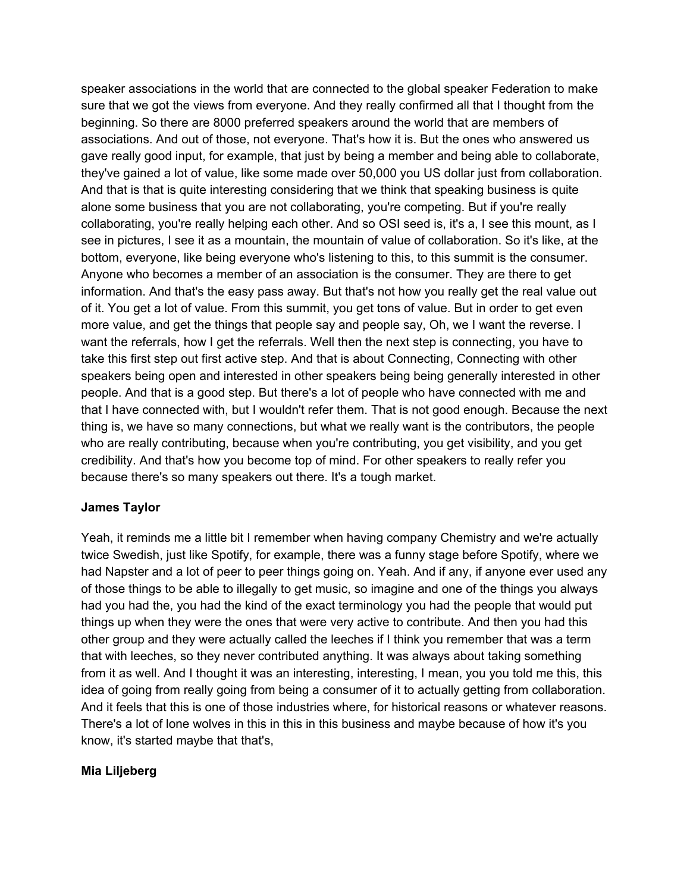speaker associations in the world that are connected to the global speaker Federation to make sure that we got the views from everyone. And they really confirmed all that I thought from the beginning. So there are 8000 preferred speakers around the world that are members of associations. And out of those, not everyone. That's how it is. But the ones who answered us gave really good input, for example, that just by being a member and being able to collaborate, they've gained a lot of value, like some made over 50,000 you US dollar just from collaboration. And that is that is quite interesting considering that we think that speaking business is quite alone some business that you are not collaborating, you're competing. But if you're really collaborating, you're really helping each other. And so OSI seed is, it's a, I see this mount, as I see in pictures, I see it as a mountain, the mountain of value of collaboration. So it's like, at the bottom, everyone, like being everyone who's listening to this, to this summit is the consumer. Anyone who becomes a member of an association is the consumer. They are there to get information. And that's the easy pass away. But that's not how you really get the real value out of it. You get a lot of value. From this summit, you get tons of value. But in order to get even more value, and get the things that people say and people say, Oh, we I want the reverse. I want the referrals, how I get the referrals. Well then the next step is connecting, you have to take this first step out first active step. And that is about Connecting, Connecting with other speakers being open and interested in other speakers being being generally interested in other people. And that is a good step. But there's a lot of people who have connected with me and that I have connected with, but I wouldn't refer them. That is not good enough. Because the next thing is, we have so many connections, but what we really want is the contributors, the people who are really contributing, because when you're contributing, you get visibility, and you get credibility. And that's how you become top of mind. For other speakers to really refer you because there's so many speakers out there. It's a tough market.

#### **James Taylor**

Yeah, it reminds me a little bit I remember when having company Chemistry and we're actually twice Swedish, just like Spotify, for example, there was a funny stage before Spotify, where we had Napster and a lot of peer to peer things going on. Yeah. And if any, if anyone ever used any of those things to be able to illegally to get music, so imagine and one of the things you always had you had the, you had the kind of the exact terminology you had the people that would put things up when they were the ones that were very active to contribute. And then you had this other group and they were actually called the leeches if I think you remember that was a term that with leeches, so they never contributed anything. It was always about taking something from it as well. And I thought it was an interesting, interesting, I mean, you you told me this, this idea of going from really going from being a consumer of it to actually getting from collaboration. And it feels that this is one of those industries where, for historical reasons or whatever reasons. There's a lot of lone wolves in this in this in this business and maybe because of how it's you know, it's started maybe that that's,

#### **Mia Liljeberg**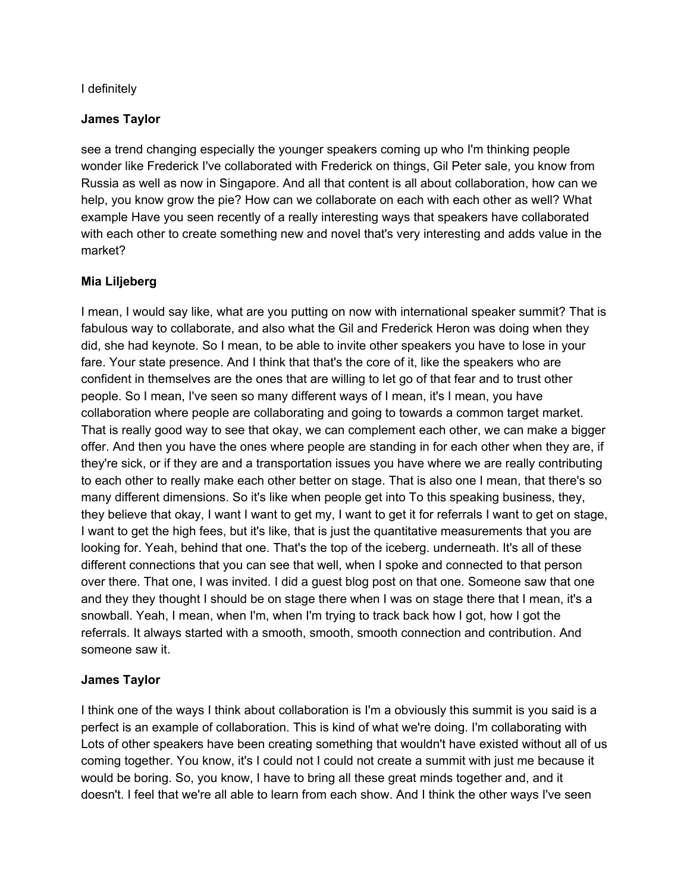### I definitely

### **James Taylor**

see a trend changing especially the younger speakers coming up who I'm thinking people wonder like Frederick I've collaborated with Frederick on things, Gil Peter sale, you know from Russia as well as now in Singapore. And all that content is all about collaboration, how can we help, you know grow the pie? How can we collaborate on each with each other as well? What example Have you seen recently of a really interesting ways that speakers have collaborated with each other to create something new and novel that's very interesting and adds value in the market?

# **Mia Liljeberg**

I mean, I would say like, what are you putting on now with international speaker summit? That is fabulous way to collaborate, and also what the Gil and Frederick Heron was doing when they did, she had keynote. So I mean, to be able to invite other speakers you have to lose in your fare. Your state presence. And I think that that's the core of it, like the speakers who are confident in themselves are the ones that are willing to let go of that fear and to trust other people. So I mean, I've seen so many different ways of I mean, it's I mean, you have collaboration where people are collaborating and going to towards a common target market. That is really good way to see that okay, we can complement each other, we can make a bigger offer. And then you have the ones where people are standing in for each other when they are, if they're sick, or if they are and a transportation issues you have where we are really contributing to each other to really make each other better on stage. That is also one I mean, that there's so many different dimensions. So it's like when people get into To this speaking business, they, they believe that okay, I want I want to get my, I want to get it for referrals I want to get on stage, I want to get the high fees, but it's like, that is just the quantitative measurements that you are looking for. Yeah, behind that one. That's the top of the iceberg. underneath. It's all of these different connections that you can see that well, when I spoke and connected to that person over there. That one, I was invited. I did a guest blog post on that one. Someone saw that one and they they thought I should be on stage there when I was on stage there that I mean, it's a snowball. Yeah, I mean, when I'm, when I'm trying to track back how I got, how I got the referrals. It always started with a smooth, smooth, smooth connection and contribution. And someone saw it.

#### **James Taylor**

I think one of the ways I think about collaboration is I'm a obviously this summit is you said is a perfect is an example of collaboration. This is kind of what we're doing. I'm collaborating with Lots of other speakers have been creating something that wouldn't have existed without all of us coming together. You know, it's I could not I could not create a summit with just me because it would be boring. So, you know, I have to bring all these great minds together and, and it doesn't. I feel that we're all able to learn from each show. And I think the other ways I've seen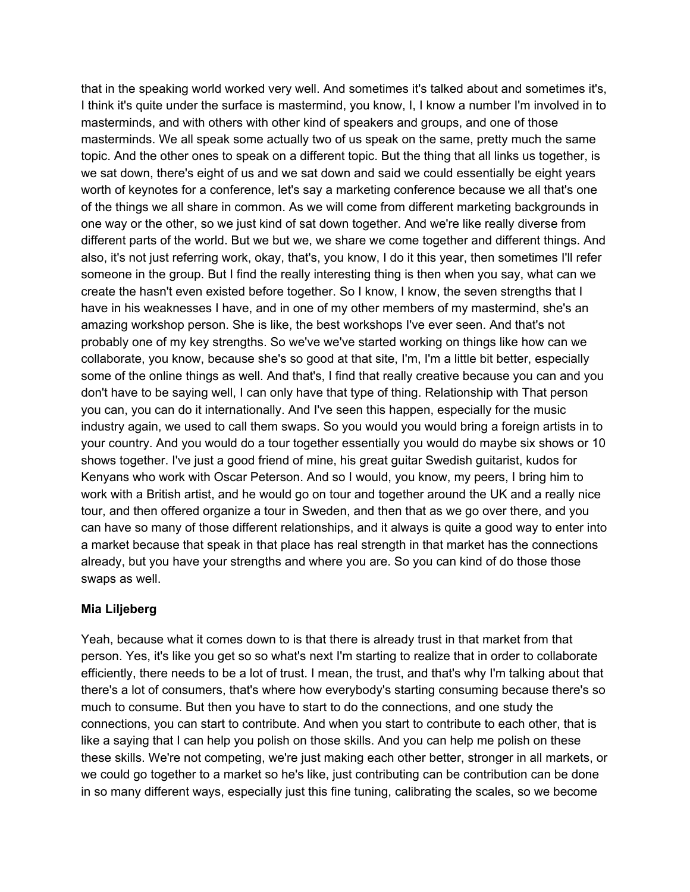that in the speaking world worked very well. And sometimes it's talked about and sometimes it's, I think it's quite under the surface is mastermind, you know, I, I know a number I'm involved in to masterminds, and with others with other kind of speakers and groups, and one of those masterminds. We all speak some actually two of us speak on the same, pretty much the same topic. And the other ones to speak on a different topic. But the thing that all links us together, is we sat down, there's eight of us and we sat down and said we could essentially be eight years worth of keynotes for a conference, let's say a marketing conference because we all that's one of the things we all share in common. As we will come from different marketing backgrounds in one way or the other, so we just kind of sat down together. And we're like really diverse from different parts of the world. But we but we, we share we come together and different things. And also, it's not just referring work, okay, that's, you know, I do it this year, then sometimes I'll refer someone in the group. But I find the really interesting thing is then when you say, what can we create the hasn't even existed before together. So I know, I know, the seven strengths that I have in his weaknesses I have, and in one of my other members of my mastermind, she's an amazing workshop person. She is like, the best workshops I've ever seen. And that's not probably one of my key strengths. So we've we've started working on things like how can we collaborate, you know, because she's so good at that site, I'm, I'm a little bit better, especially some of the online things as well. And that's, I find that really creative because you can and you don't have to be saying well, I can only have that type of thing. Relationship with That person you can, you can do it internationally. And I've seen this happen, especially for the music industry again, we used to call them swaps. So you would you would bring a foreign artists in to your country. And you would do a tour together essentially you would do maybe six shows or 10 shows together. I've just a good friend of mine, his great guitar Swedish guitarist, kudos for Kenyans who work with Oscar Peterson. And so I would, you know, my peers, I bring him to work with a British artist, and he would go on tour and together around the UK and a really nice tour, and then offered organize a tour in Sweden, and then that as we go over there, and you can have so many of those different relationships, and it always is quite a good way to enter into a market because that speak in that place has real strength in that market has the connections already, but you have your strengths and where you are. So you can kind of do those those swaps as well.

# **Mia Liljeberg**

Yeah, because what it comes down to is that there is already trust in that market from that person. Yes, it's like you get so so what's next I'm starting to realize that in order to collaborate efficiently, there needs to be a lot of trust. I mean, the trust, and that's why I'm talking about that there's a lot of consumers, that's where how everybody's starting consuming because there's so much to consume. But then you have to start to do the connections, and one study the connections, you can start to contribute. And when you start to contribute to each other, that is like a saying that I can help you polish on those skills. And you can help me polish on these these skills. We're not competing, we're just making each other better, stronger in all markets, or we could go together to a market so he's like, just contributing can be contribution can be done in so many different ways, especially just this fine tuning, calibrating the scales, so we become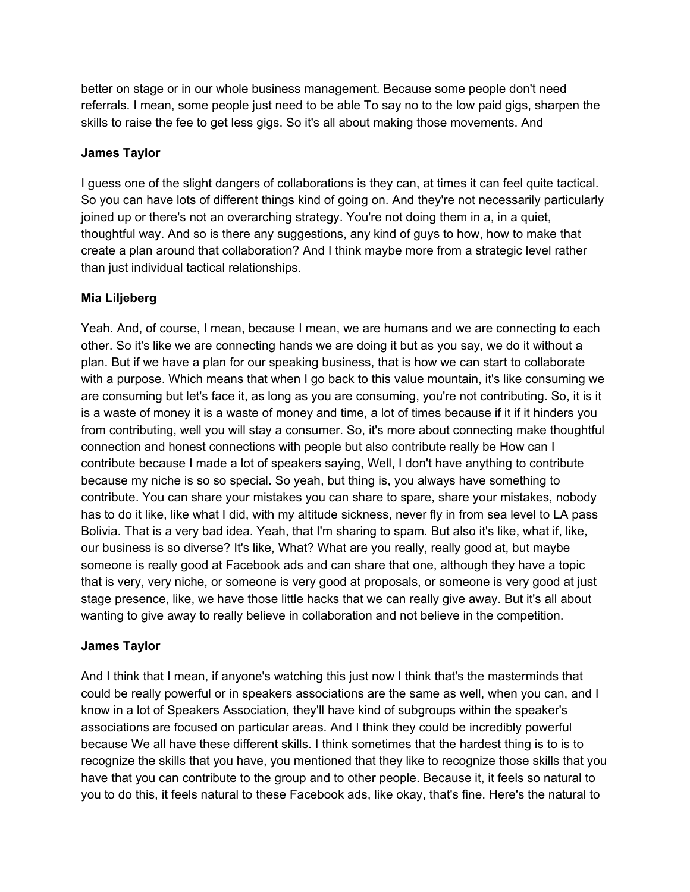better on stage or in our whole business management. Because some people don't need referrals. I mean, some people just need to be able To say no to the low paid gigs, sharpen the skills to raise the fee to get less gigs. So it's all about making those movements. And

### **James Taylor**

I guess one of the slight dangers of collaborations is they can, at times it can feel quite tactical. So you can have lots of different things kind of going on. And they're not necessarily particularly joined up or there's not an overarching strategy. You're not doing them in a, in a quiet, thoughtful way. And so is there any suggestions, any kind of guys to how, how to make that create a plan around that collaboration? And I think maybe more from a strategic level rather than just individual tactical relationships.

# **Mia Liljeberg**

Yeah. And, of course, I mean, because I mean, we are humans and we are connecting to each other. So it's like we are connecting hands we are doing it but as you say, we do it without a plan. But if we have a plan for our speaking business, that is how we can start to collaborate with a purpose. Which means that when I go back to this value mountain, it's like consuming we are consuming but let's face it, as long as you are consuming, you're not contributing. So, it is it is a waste of money it is a waste of money and time, a lot of times because if it if it hinders you from contributing, well you will stay a consumer. So, it's more about connecting make thoughtful connection and honest connections with people but also contribute really be How can I contribute because I made a lot of speakers saying, Well, I don't have anything to contribute because my niche is so so special. So yeah, but thing is, you always have something to contribute. You can share your mistakes you can share to spare, share your mistakes, nobody has to do it like, like what I did, with my altitude sickness, never fly in from sea level to LA pass Bolivia. That is a very bad idea. Yeah, that I'm sharing to spam. But also it's like, what if, like, our business is so diverse? It's like, What? What are you really, really good at, but maybe someone is really good at Facebook ads and can share that one, although they have a topic that is very, very niche, or someone is very good at proposals, or someone is very good at just stage presence, like, we have those little hacks that we can really give away. But it's all about wanting to give away to really believe in collaboration and not believe in the competition.

#### **James Taylor**

And I think that I mean, if anyone's watching this just now I think that's the masterminds that could be really powerful or in speakers associations are the same as well, when you can, and I know in a lot of Speakers Association, they'll have kind of subgroups within the speaker's associations are focused on particular areas. And I think they could be incredibly powerful because We all have these different skills. I think sometimes that the hardest thing is to is to recognize the skills that you have, you mentioned that they like to recognize those skills that you have that you can contribute to the group and to other people. Because it, it feels so natural to you to do this, it feels natural to these Facebook ads, like okay, that's fine. Here's the natural to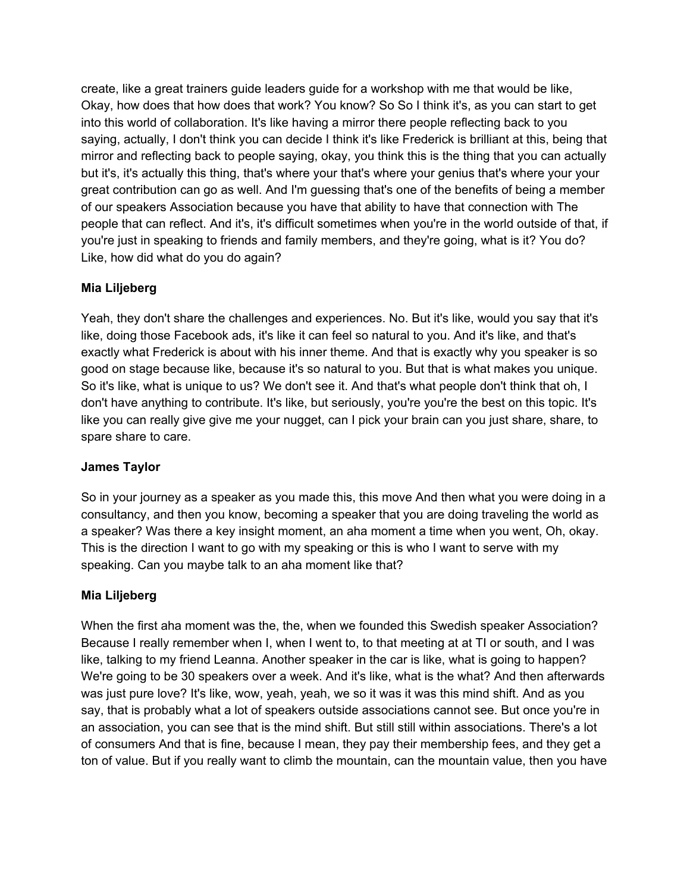create, like a great trainers guide leaders guide for a workshop with me that would be like, Okay, how does that how does that work? You know? So So I think it's, as you can start to get into this world of collaboration. It's like having a mirror there people reflecting back to you saying, actually, I don't think you can decide I think it's like Frederick is brilliant at this, being that mirror and reflecting back to people saying, okay, you think this is the thing that you can actually but it's, it's actually this thing, that's where your that's where your genius that's where your your great contribution can go as well. And I'm guessing that's one of the benefits of being a member of our speakers Association because you have that ability to have that connection with The people that can reflect. And it's, it's difficult sometimes when you're in the world outside of that, if you're just in speaking to friends and family members, and they're going, what is it? You do? Like, how did what do you do again?

# **Mia Liljeberg**

Yeah, they don't share the challenges and experiences. No. But it's like, would you say that it's like, doing those Facebook ads, it's like it can feel so natural to you. And it's like, and that's exactly what Frederick is about with his inner theme. And that is exactly why you speaker is so good on stage because like, because it's so natural to you. But that is what makes you unique. So it's like, what is unique to us? We don't see it. And that's what people don't think that oh, I don't have anything to contribute. It's like, but seriously, you're you're the best on this topic. It's like you can really give give me your nugget, can I pick your brain can you just share, share, to spare share to care.

# **James Taylor**

So in your journey as a speaker as you made this, this move And then what you were doing in a consultancy, and then you know, becoming a speaker that you are doing traveling the world as a speaker? Was there a key insight moment, an aha moment a time when you went, Oh, okay. This is the direction I want to go with my speaking or this is who I want to serve with my speaking. Can you maybe talk to an aha moment like that?

# **Mia Liljeberg**

When the first aha moment was the, the, when we founded this Swedish speaker Association? Because I really remember when I, when I went to, to that meeting at at TI or south, and I was like, talking to my friend Leanna. Another speaker in the car is like, what is going to happen? We're going to be 30 speakers over a week. And it's like, what is the what? And then afterwards was just pure love? It's like, wow, yeah, yeah, we so it was it was this mind shift. And as you say, that is probably what a lot of speakers outside associations cannot see. But once you're in an association, you can see that is the mind shift. But still still within associations. There's a lot of consumers And that is fine, because I mean, they pay their membership fees, and they get a ton of value. But if you really want to climb the mountain, can the mountain value, then you have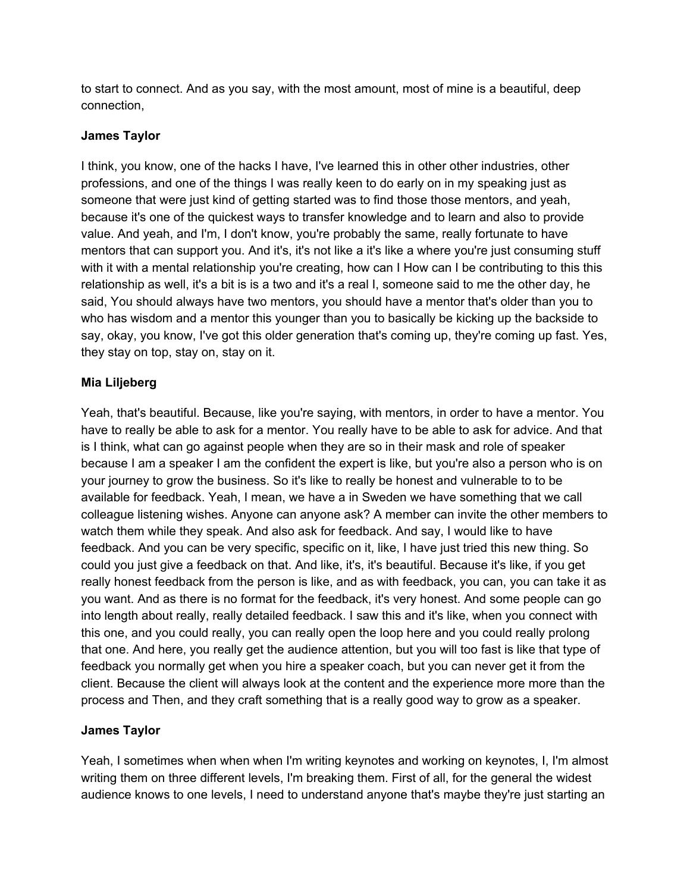to start to connect. And as you say, with the most amount, most of mine is a beautiful, deep connection,

### **James Taylor**

I think, you know, one of the hacks I have, I've learned this in other other industries, other professions, and one of the things I was really keen to do early on in my speaking just as someone that were just kind of getting started was to find those those mentors, and yeah, because it's one of the quickest ways to transfer knowledge and to learn and also to provide value. And yeah, and I'm, I don't know, you're probably the same, really fortunate to have mentors that can support you. And it's, it's not like a it's like a where you're just consuming stuff with it with a mental relationship you're creating, how can I How can I be contributing to this this relationship as well, it's a bit is is a two and it's a real I, someone said to me the other day, he said, You should always have two mentors, you should have a mentor that's older than you to who has wisdom and a mentor this younger than you to basically be kicking up the backside to say, okay, you know, I've got this older generation that's coming up, they're coming up fast. Yes, they stay on top, stay on, stay on it.

### **Mia Liljeberg**

Yeah, that's beautiful. Because, like you're saying, with mentors, in order to have a mentor. You have to really be able to ask for a mentor. You really have to be able to ask for advice. And that is I think, what can go against people when they are so in their mask and role of speaker because I am a speaker I am the confident the expert is like, but you're also a person who is on your journey to grow the business. So it's like to really be honest and vulnerable to to be available for feedback. Yeah, I mean, we have a in Sweden we have something that we call colleague listening wishes. Anyone can anyone ask? A member can invite the other members to watch them while they speak. And also ask for feedback. And say, I would like to have feedback. And you can be very specific, specific on it, like, I have just tried this new thing. So could you just give a feedback on that. And like, it's, it's beautiful. Because it's like, if you get really honest feedback from the person is like, and as with feedback, you can, you can take it as you want. And as there is no format for the feedback, it's very honest. And some people can go into length about really, really detailed feedback. I saw this and it's like, when you connect with this one, and you could really, you can really open the loop here and you could really prolong that one. And here, you really get the audience attention, but you will too fast is like that type of feedback you normally get when you hire a speaker coach, but you can never get it from the client. Because the client will always look at the content and the experience more more than the process and Then, and they craft something that is a really good way to grow as a speaker.

#### **James Taylor**

Yeah, I sometimes when when when I'm writing keynotes and working on keynotes, I, I'm almost writing them on three different levels, I'm breaking them. First of all, for the general the widest audience knows to one levels, I need to understand anyone that's maybe they're just starting an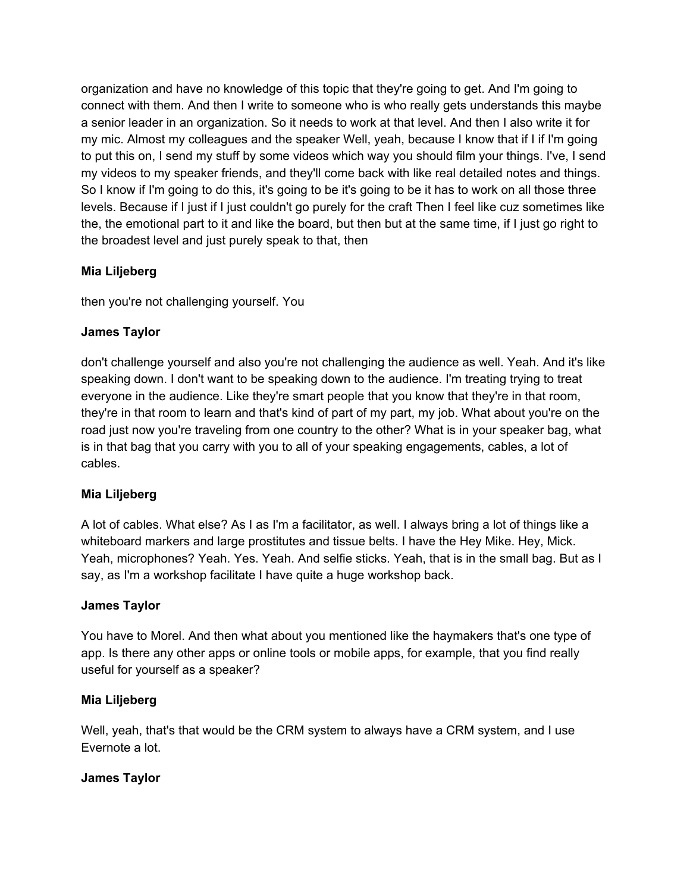organization and have no knowledge of this topic that they're going to get. And I'm going to connect with them. And then I write to someone who is who really gets understands this maybe a senior leader in an organization. So it needs to work at that level. And then I also write it for my mic. Almost my colleagues and the speaker Well, yeah, because I know that if I if I'm going to put this on, I send my stuff by some videos which way you should film your things. I've, I send my videos to my speaker friends, and they'll come back with like real detailed notes and things. So I know if I'm going to do this, it's going to be it's going to be it has to work on all those three levels. Because if I just if I just couldn't go purely for the craft Then I feel like cuz sometimes like the, the emotional part to it and like the board, but then but at the same time, if I just go right to the broadest level and just purely speak to that, then

# **Mia Liljeberg**

then you're not challenging yourself. You

# **James Taylor**

don't challenge yourself and also you're not challenging the audience as well. Yeah. And it's like speaking down. I don't want to be speaking down to the audience. I'm treating trying to treat everyone in the audience. Like they're smart people that you know that they're in that room, they're in that room to learn and that's kind of part of my part, my job. What about you're on the road just now you're traveling from one country to the other? What is in your speaker bag, what is in that bag that you carry with you to all of your speaking engagements, cables, a lot of cables.

# **Mia Liljeberg**

A lot of cables. What else? As I as I'm a facilitator, as well. I always bring a lot of things like a whiteboard markers and large prostitutes and tissue belts. I have the Hey Mike. Hey, Mick. Yeah, microphones? Yeah. Yes. Yeah. And selfie sticks. Yeah, that is in the small bag. But as I say, as I'm a workshop facilitate I have quite a huge workshop back.

#### **James Taylor**

You have to Morel. And then what about you mentioned like the haymakers that's one type of app. Is there any other apps or online tools or mobile apps, for example, that you find really useful for yourself as a speaker?

# **Mia Liljeberg**

Well, yeah, that's that would be the CRM system to always have a CRM system, and I use Evernote a lot.

#### **James Taylor**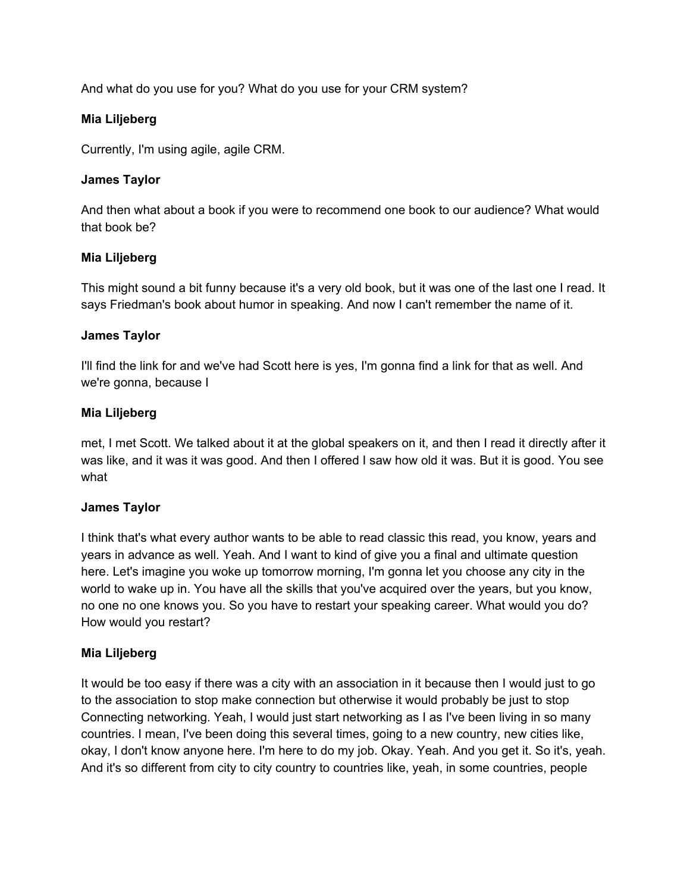And what do you use for you? What do you use for your CRM system?

### **Mia Liljeberg**

Currently, I'm using agile, agile CRM.

### **James Taylor**

And then what about a book if you were to recommend one book to our audience? What would that book be?

### **Mia Liljeberg**

This might sound a bit funny because it's a very old book, but it was one of the last one I read. It says Friedman's book about humor in speaking. And now I can't remember the name of it.

### **James Taylor**

I'll find the link for and we've had Scott here is yes, I'm gonna find a link for that as well. And we're gonna, because I

### **Mia Liljeberg**

met, I met Scott. We talked about it at the global speakers on it, and then I read it directly after it was like, and it was it was good. And then I offered I saw how old it was. But it is good. You see what

#### **James Taylor**

I think that's what every author wants to be able to read classic this read, you know, years and years in advance as well. Yeah. And I want to kind of give you a final and ultimate question here. Let's imagine you woke up tomorrow morning, I'm gonna let you choose any city in the world to wake up in. You have all the skills that you've acquired over the years, but you know, no one no one knows you. So you have to restart your speaking career. What would you do? How would you restart?

# **Mia Liljeberg**

It would be too easy if there was a city with an association in it because then I would just to go to the association to stop make connection but otherwise it would probably be just to stop Connecting networking. Yeah, I would just start networking as I as I've been living in so many countries. I mean, I've been doing this several times, going to a new country, new cities like, okay, I don't know anyone here. I'm here to do my job. Okay. Yeah. And you get it. So it's, yeah. And it's so different from city to city country to countries like, yeah, in some countries, people